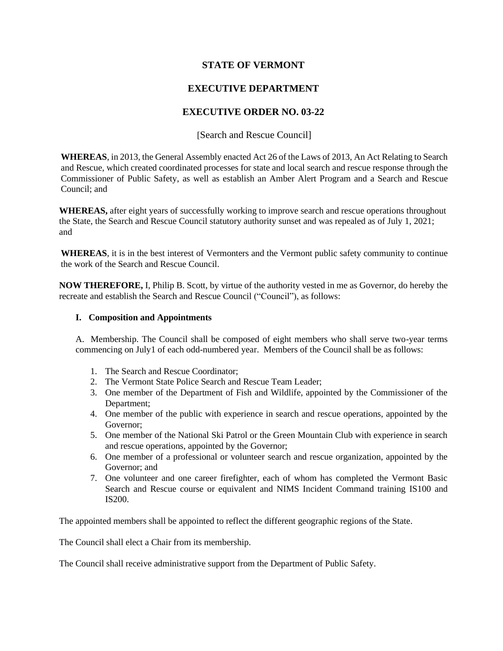## **STATE OF VERMONT**

# **EXECUTIVE DEPARTMENT**

### **EXECUTIVE ORDER NO. 03-22**

[Search and Rescue Council]

**WHEREAS**, in 2013, the General Assembly enacted Act 26 of the Laws of 2013, An Act Relating to Search and Rescue, which created coordinated processes for state and local search and rescue response through the Commissioner of Public Safety, as well as establish an Amber Alert Program and a Search and Rescue Council; and

**WHEREAS,** after eight years of successfully working to improve search and rescue operations throughout the State, the Search and Rescue Council statutory authority sunset and was repealed as of July 1, 2021; and

**WHEREAS**, it is in the best interest of Vermonters and the Vermont public safety community to continue the work of the Search and Rescue Council.

**NOW THEREFORE,** I, Philip B. Scott, by virtue of the authority vested in me as Governor, do hereby the recreate and establish the Search and Rescue Council ("Council"), as follows:

#### **I. Composition and Appointments**

A. Membership. The Council shall be composed of eight members who shall serve two-year terms commencing on July1 of each odd-numbered year. Members of the Council shall be as follows:

- 1. The Search and Rescue Coordinator;
- 2. The Vermont State Police Search and Rescue Team Leader;
- 3. One member of the Department of Fish and Wildlife, appointed by the Commissioner of the Department;
- 4. One member of the public with experience in search and rescue operations, appointed by the Governor;
- 5. One member of the National Ski Patrol or the Green Mountain Club with experience in search and rescue operations, appointed by the Governor;
- 6. One member of a professional or volunteer search and rescue organization, appointed by the Governor; and
- 7. One volunteer and one career firefighter, each of whom has completed the Vermont Basic Search and Rescue course or equivalent and NIMS Incident Command training IS100 and IS200.

The appointed members shall be appointed to reflect the different geographic regions of the State.

The Council shall elect a Chair from its membership.

The Council shall receive administrative support from the Department of Public Safety.